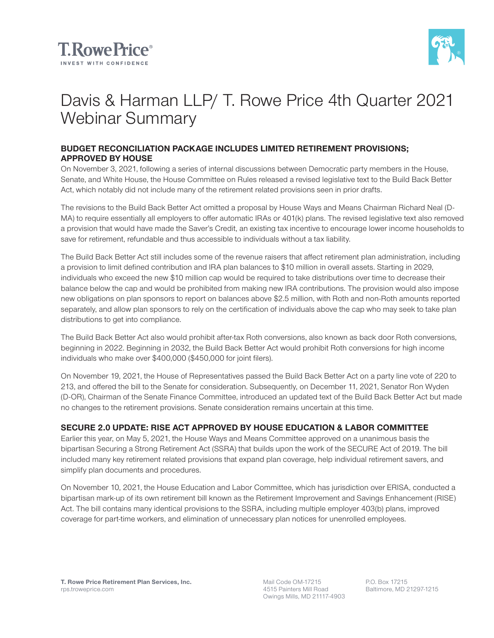



# Davis & Harman LLP/ T. Rowe Price 4th Quarter 2021 Webinar Summary

## **BUDGET RECONCILIATION PACKAGE INCLUDES LIMITED RETIREMENT PROVISIONS; APPROVED BY HOUSE**

On November 3, 2021, following a series of internal discussions between Democratic party members in the House, Senate, and White House, the House Committee on Rules released a revised legislative text to the Build Back Better Act, which notably did not include many of the retirement related provisions seen in prior drafts.

The revisions to the Build Back Better Act omitted a proposal by House Ways and Means Chairman Richard Neal (D-MA) to require essentially all employers to offer automatic IRAs or 401(k) plans. The revised legislative text also removed a provision that would have made the Saver's Credit, an existing tax incentive to encourage lower income households to save for retirement, refundable and thus accessible to individuals without a tax liability.

The Build Back Better Act still includes some of the revenue raisers that affect retirement plan administration, including a provision to limit defined contribution and IRA plan balances to \$10 million in overall assets. Starting in 2029, individuals who exceed the new \$10 million cap would be required to take distributions over time to decrease their balance below the cap and would be prohibited from making new IRA contributions. The provision would also impose new obligations on plan sponsors to report on balances above \$2.5 million, with Roth and non-Roth amounts reported separately, and allow plan sponsors to rely on the certification of individuals above the cap who may seek to take plan distributions to get into compliance.

The Build Back Better Act also would prohibit after-tax Roth conversions, also known as back door Roth conversions, beginning in 2022. Beginning in 2032, the Build Back Better Act would prohibit Roth conversions for high income individuals who make over \$400,000 (\$450,000 for joint filers).

On November 19, 2021, the House of Representatives passed the Build Back Better Act on a party line vote of 220 to 213, and offered the bill to the Senate for consideration. Subsequently, on December 11, 2021, Senator Ron Wyden (D-OR), Chairman of the Senate Finance Committee, introduced an updated text of the Build Back Better Act but made no changes to the retirement provisions. Senate consideration remains uncertain at this time.

## **SECURE 2.0 UPDATE: RISE ACT APPROVED BY HOUSE EDUCATION & LABOR COMMITTEE**

Earlier this year, on May 5, 2021, the House Ways and Means Committee approved on a unanimous basis the bipartisan Securing a Strong Retirement Act (SSRA) that builds upon the work of the SECURE Act of 2019. The bill included many key retirement related provisions that expand plan coverage, help individual retirement savers, and simplify plan documents and procedures.

On November 10, 2021, the House Education and Labor Committee, which has jurisdiction over ERISA, conducted a bipartisan mark-up of its own retirement bill known as the Retirement Improvement and Savings Enhancement (RISE) Act. The bill contains many identical provisions to the SSRA, including multiple employer 403(b) plans, improved coverage for part-time workers, and elimination of unnecessary plan notices for unenrolled employees.

Mail Code OM-17215 4515 Painters Mill Road Owings Mills, MD 21117-4903 P.O. Box 17215 Baltimore, MD 21297-1215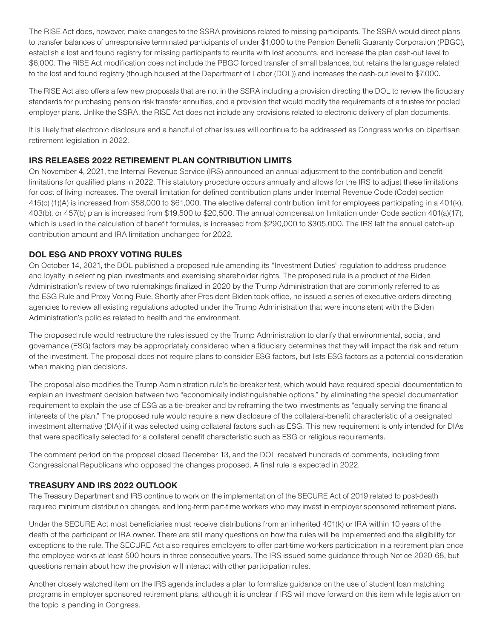The RISE Act does, however, make changes to the SSRA provisions related to missing participants. The SSRA would direct plans to transfer balances of unresponsive terminated participants of under \$1,000 to the Pension Benefit Guaranty Corporation (PBGC), establish a lost and found registry for missing participants to reunite with lost accounts, and increase the plan cash-out level to \$6,000. The RISE Act modification does not include the PBGC forced transfer of small balances, but retains the language related to the lost and found registry (though housed at the Department of Labor (DOL)) and increases the cash-out level to \$7,000.

The RISE Act also offers a few new proposals that are not in the SSRA including a provision directing the DOL to review the fiduciary standards for purchasing pension risk transfer annuities, and a provision that would modify the requirements of a trustee for pooled employer plans. Unlike the SSRA, the RISE Act does not include any provisions related to electronic delivery of plan documents.

It is likely that electronic disclosure and a handful of other issues will continue to be addressed as Congress works on bipartisan retirement legislation in 2022.

## **IRS RELEASES 2022 RETIREMENT PLAN CONTRIBUTION LIMITS**

On November 4, 2021, the Internal Revenue Service (IRS) announced an annual adjustment to the contribution and benefit limitations for qualified plans in 2022. This statutory procedure occurs annually and allows for the IRS to adjust these limitations for cost of living increases. The overall limitation for defined contribution plans under Internal Revenue Code (Code) section 415(c) (1)(A) is increased from \$58,000 to \$61,000. The elective deferral contribution limit for employees participating in a 401(k), 403(b), or 457(b) plan is increased from \$19,500 to \$20,500. The annual compensation limitation under Code section 401(a)(17), which is used in the calculation of benefit formulas, is increased from \$290,000 to \$305,000. The IRS left the annual catch-up contribution amount and IRA limitation unchanged for 2022.

### **DOL ESG AND PROXY VOTING RULES**

On October 14, 2021, the DOL published a proposed rule amending its "Investment Duties" regulation to address prudence and loyalty in selecting plan investments and exercising shareholder rights. The proposed rule is a product of the Biden Administration's review of two rulemakings finalized in 2020 by the Trump Administration that are commonly referred to as the ESG Rule and Proxy Voting Rule. Shortly after President Biden took office, he issued a series of executive orders directing agencies to review all existing regulations adopted under the Trump Administration that were inconsistent with the Biden Administration's policies related to health and the environment.

The proposed rule would restructure the rules issued by the Trump Administration to clarify that environmental, social, and governance (ESG) factors may be appropriately considered when a fiduciary determines that they will impact the risk and return of the investment. The proposal does not require plans to consider ESG factors, but lists ESG factors as a potential consideration when making plan decisions.

The proposal also modifies the Trump Administration rule's tie-breaker test, which would have required special documentation to explain an investment decision between two "economically indistinguishable options," by eliminating the special documentation requirement to explain the use of ESG as a tie-breaker and by reframing the two investments as "equally serving the financial interests of the plan." The proposed rule would require a new disclosure of the collateral-benefit characteristic of a designated investment alternative (DIA) if it was selected using collateral factors such as ESG. This new requirement is only intended for DIAs that were specifically selected for a collateral benefit characteristic such as ESG or religious requirements.

The comment period on the proposal closed December 13, and the DOL received hundreds of comments, including from Congressional Republicans who opposed the changes proposed. A final rule is expected in 2022.

## **TREASURY AND IRS 2022 OUTLOOK**

The Treasury Department and IRS continue to work on the implementation of the SECURE Act of 2019 related to post-death required minimum distribution changes, and long-term part-time workers who may invest in employer sponsored retirement plans.

Under the SECURE Act most beneficiaries must receive distributions from an inherited 401(k) or IRA within 10 years of the death of the participant or IRA owner. There are still many questions on how the rules will be implemented and the eligibility for exceptions to the rule. The SECURE Act also requires employers to offer part-time workers participation in a retirement plan once the employee works at least 500 hours in three consecutive years. The IRS issued some guidance through Notice 2020-68, but questions remain about how the provision will interact with other participation rules.

Another closely watched item on the IRS agenda includes a plan to formalize guidance on the use of student loan matching programs in employer sponsored retirement plans, although it is unclear if IRS will move forward on this item while legislation on the topic is pending in Congress.